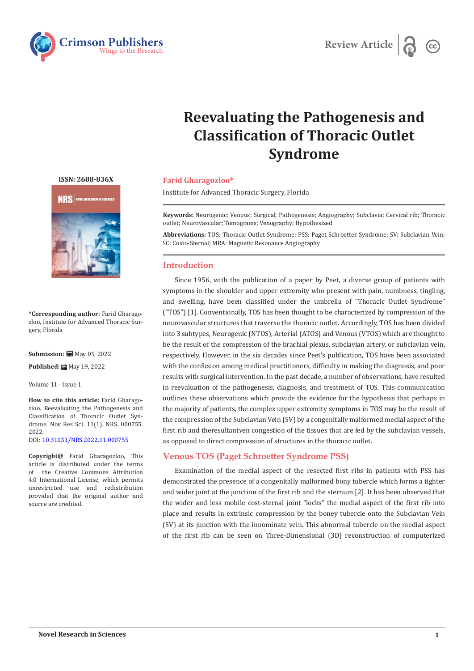



# **Reevaluating the Pathogenesis and Classification of Thoracic Outlet Syndrome**

**ISSN: 2688-836X**



**\*Corresponding author:** Farid Gharagozloo, Institute for Advanced Thoracic Surgery, Florida

**Submission: ■ May 05, 2022** 

**Published:** ■ May 19, 2022

Volume 11 - Issue 1

**How to cite this article:** Farid Gharagozloo. Reevaluating the Pathogenesis and Classification of Thoracic Outlet Syndrome. Nov Res Sci. 11(1). NRS. 000755. 2022. DOI: [10.31031/NRS.2022.11.000755](http://dx.doi.org/10.31031/NRS.2022.11.000755)

**Copyright@** Farid Gharagozloo, This article is distributed under the terms of the Creative Commons Attribution 4.0 International License, which permits unrestricted use and redistribution provided that the original author and source are credited.

#### **Farid Gharagozloo\***

Institute for Advanced Thoracic Surgery, Florida

**Keywords:** Neurogenic; Venous; Surgical; Pathogenesis; Angiography; Subclavia; Cervical rib; Thoracic outlet; Neurovascular; Tomograms; Venography; Hypothesized

**Abbreviations:** TOS: Thoracic Outlet Syndrome; PSS: Paget Schroetter Syndrome; SV: Subclavian Vein; SC: Costo-Sternal; MRA: Magnetic Resonance Angiography

## **Introduction**

Since 1956, with the publication of a paper by Peet, a diverse group of patients with symptoms in the shoulder and upper extremity who present with pain, numbness, tingling, and swelling, have been classified under the umbrella of "Thoracic Outlet Syndrome" ("TOS") [1]. Conventionally, TOS has been thought to be characterized by compression of the neurovascular structures that traverse the thoracic outlet. Accordingly, TOS has been divided into 3 subtypes, Neurogenic (NTOS), Arterial (ATOS) and Venous (VTOS) which are thought to be the result of the compression of the brachial plexus, subclavian artery, or subclavian vein, respectively. However, in the six decades since Peet's publication, TOS have been associated with the confusion among medical practitioners, difficulty in making the diagnosis, and poor results with surgical intervention. In the past decade, a number of observations, have resulted in reevaluation of the pathogenesis, diagnosis, and treatment of TOS. This communication outlines these observations which provide the evidence for the hypothesis that perhaps in the majority of patients, the complex upper extremity symptoms in TOS may be the result of the compression of the Subclavian Vein (SV) by a congenitally malformed medial aspect of the first rib and theresultantven congestion of the tissues that are fed by the subclavian vessels, as opposed to direct compression of structures in the thoracic outlet.

## **Venous TOS (Paget Schroetter Syndrome PSS)**

Examination of the medial aspect of the resected first ribs in patients with PSS has demonstrated the presence of a congenitally malformed bony tubercle which forms a tighter and wider joint at the junction of the first rib and the sternum [2]. It has been observed that the wider and less mobile cost-sternal joint "locks" the medial aspect of the first rib into place and results in extrinsic compression by the boney tubercle onto the Subclavian Vein (SV) at its junction with the innominate vein. This abnormal tubercle on the medial aspect of the first rib can be seen on Three-Dimensional (3D) reconstruction of computerized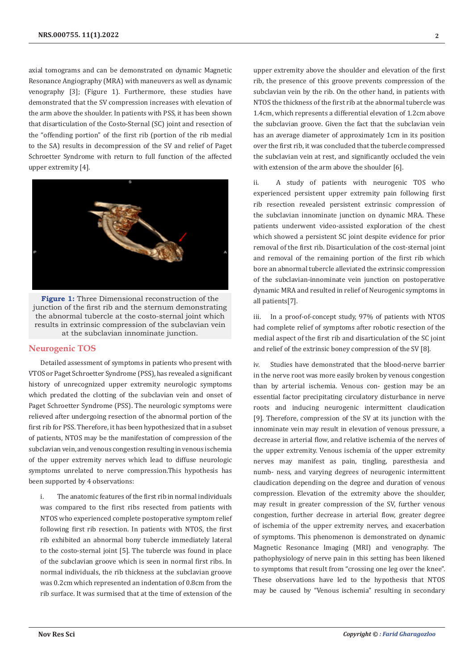axial tomograms and can be demonstrated on dynamic Magnetic Resonance Angiography (MRA) with maneuvers as well as dynamic venography [3]; (Figure 1). Furthermore, these studies have demonstrated that the SV compression increases with elevation of the arm above the shoulder. In patients with PSS, it has been shown that disarticulation of the Costo-Sternal (SC) joint and resection of the "offending portion" of the first rib (portion of the rib medial to the SA) results in decompression of the SV and relief of Paget Schroetter Syndrome with return to full function of the affected upper extremity [4].



**Figure 1:** Three Dimensional reconstruction of the junction of the first rib and the sternum demonstrating the abnormal tubercle at the costo-sternal joint which results in extrinsic compression of the subclavian vein at the subclavian innominate junction.

#### **Neurogenic TOS**

Detailed assessment of symptoms in patients who present with VTOS or Paget Schroetter Syndrome (PSS), has revealed a significant history of unrecognized upper extremity neurologic symptoms which predated the clotting of the subclavian vein and onset of Paget Schroetter Syndrome (PSS). The neurologic symptoms were relieved after undergoing resection of the abnormal portion of the first rib for PSS. Therefore, it has been hypothesized that in a subset of patients, NTOS may be the manifestation of compression of the subclavian vein, and venous congestion resulting in venous ischemia of the upper extremity nerves which lead to diffuse neurologic symptoms unrelated to nerve compression.This hypothesis has been supported by 4 observations:

i. The anatomic features of the first rib in normal individuals was compared to the first ribs resected from patients with NTOS who experienced complete postoperative symptom relief following first rib resection. In patients with NTOS, the first rib exhibited an abnormal bony tubercle immediately lateral to the costo-sternal joint [5]. The tubercle was found in place of the subclavian groove which is seen in normal first ribs. In normal individuals, the rib thickness at the subclavian groove was 0.2cm which represented an indentation of 0.8cm from the rib surface. It was surmised that at the time of extension of the

upper extremity above the shoulder and elevation of the first rib, the presence of this groove prevents compression of the subclavian vein by the rib. On the other hand, in patients with NTOS the thickness of the first rib at the abnormal tubercle was 1.4cm, which represents a differential elevation of 1.2cm above the subclavian groove. Given the fact that the subclavian vein has an average diameter of approximately 1cm in its position over the first rib, it was concluded that the tubercle compressed the subclavian vein at rest, and significantly occluded the vein with extension of the arm above the shoulder [6].

ii. A study of patients with neurogenic TOS who experienced persistent upper extremity pain following first rib resection revealed persistent extrinsic compression of the subclavian innominate junction on dynamic MRA. These patients underwent video-assisted exploration of the chest which showed a persistent SC joint despite evidence for prior removal of the first rib. Disarticulation of the cost-sternal joint and removal of the remaining portion of the first rib which bore an abnormal tubercle alleviated the extrinsic compression of the subclavian-innominate vein junction on postoperative dynamic MRA and resulted in relief of Neurogenic symptoms in all patients[7].

iii. In a proof-of-concept study, 97% of patients with NTOS had complete relief of symptoms after robotic resection of the medial aspect of the first rib and disarticulation of the SC joint and relief of the extrinsic boney compression of the SV [8].

iv. Studies have demonstrated that the blood-nerve barrier in the nerve root was more easily broken by venous congestion than by arterial ischemia. Venous con- gestion may be an essential factor precipitating circulatory disturbance in nerve roots and inducing neurogenic intermittent claudication [9]. Therefore, compression of the SV at its junction with the innominate vein may result in elevation of venous pressure, a decrease in arterial flow, and relative ischemia of the nerves of the upper extremity. Venous ischemia of the upper extremity nerves may manifest as pain, tingling, paresthesia and numb- ness, and varying degrees of neurogenic intermittent claudication depending on the degree and duration of venous compression. Elevation of the extremity above the shoulder, may result in greater compression of the SV, further venous congestion, further decrease in arterial flow, greater degree of ischemia of the upper extremity nerves, and exacerbation of symptoms. This phenomenon is demonstrated on dynamic Magnetic Resonance Imaging (MRI) and venography. The pathophysiology of nerve pain in this setting has been likened to symptoms that result from "crossing one leg over the knee". These observations have led to the hypothesis that NTOS may be caused by "Venous ischemia" resulting in secondary